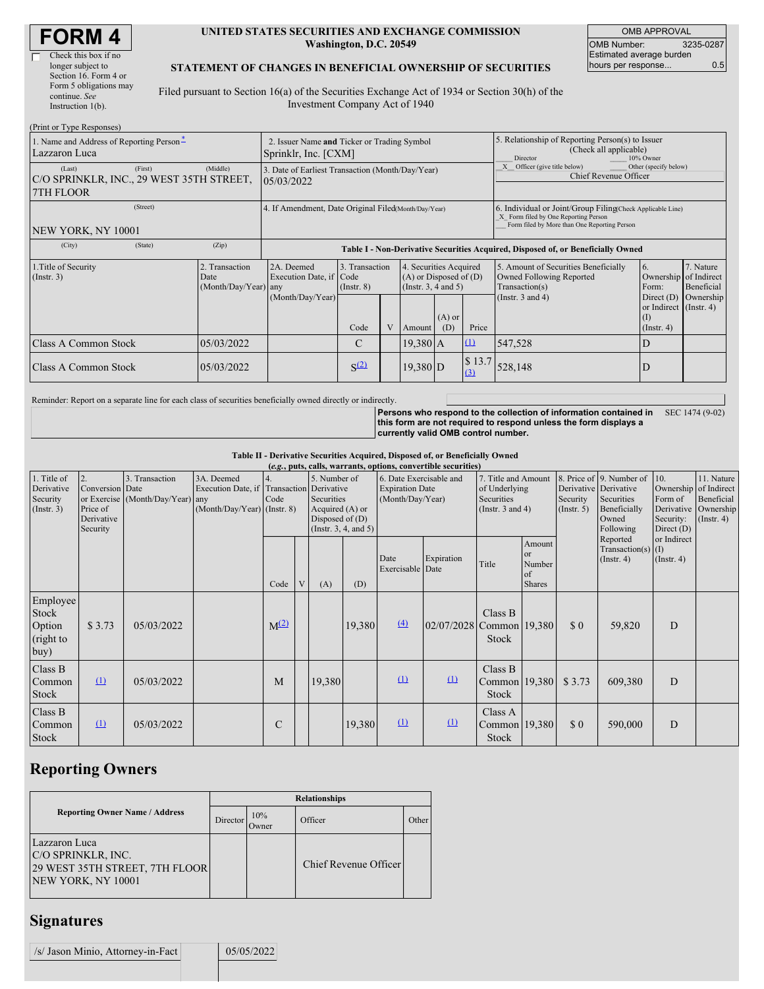| <b>FORM4</b> |  |
|--------------|--|
|--------------|--|

#### **UNITED STATES SECURITIES AND EXCHANGE COMMISSION Washington, D.C. 20549**

OMB APPROVAL OMB Number: 3235-0287 Estimated average burden hours per response... 0.5

### **STATEMENT OF CHANGES IN BENEFICIAL OWNERSHIP OF SECURITIES**

Filed pursuant to Section 16(a) of the Securities Exchange Act of 1934 or Section 30(h) of the Investment Company Act of 1940

| (Print or Type Responses)                                                  |                                                |                                                                                  |                                   |                                                                                  |                    |                 |                                                                              |                                                                                                                                                    |                                                      |                                      |
|----------------------------------------------------------------------------|------------------------------------------------|----------------------------------------------------------------------------------|-----------------------------------|----------------------------------------------------------------------------------|--------------------|-----------------|------------------------------------------------------------------------------|----------------------------------------------------------------------------------------------------------------------------------------------------|------------------------------------------------------|--------------------------------------|
| 1. Name and Address of Reporting Person-<br>Lazzaron Luca                  |                                                | 2. Issuer Name and Ticker or Trading Symbol<br>Sprinklr, Inc. [CXM]              |                                   |                                                                                  |                    |                 |                                                                              | 5. Relationship of Reporting Person(s) to Issuer<br>(Check all applicable)<br>Director<br>10% Owner                                                |                                                      |                                      |
| (First)<br>(Last)<br>C/O SPRINKLR, INC., 29 WEST 35TH STREET,<br>7TH FLOOR | (Middle)                                       | 3. Date of Earliest Transaction (Month/Day/Year)<br>105/03/2022                  |                                   |                                                                                  |                    |                 | Other (specify below)<br>Officer (give title below)<br>Chief Revenue Officer |                                                                                                                                                    |                                                      |                                      |
| (Street)<br>NEW YORK, NY 10001                                             |                                                | 4. If Amendment, Date Original Filed(Month/Day/Year)                             |                                   |                                                                                  |                    |                 |                                                                              | 6. Individual or Joint/Group Filing(Check Applicable Line)<br>X Form filed by One Reporting Person<br>Form filed by More than One Reporting Person |                                                      |                                      |
| (State)<br>(City)                                                          | (Zip)                                          | Table I - Non-Derivative Securities Acquired, Disposed of, or Beneficially Owned |                                   |                                                                                  |                    |                 |                                                                              |                                                                                                                                                    |                                                      |                                      |
| 1. Title of Security<br>$($ Instr. 3 $)$                                   | 2. Transaction<br>Date<br>(Month/Day/Year) any | 2A. Deemed<br>Execution Date, if Code<br>(Month/Day/Year)                        | 3. Transaction<br>$($ Instr. $8)$ | 4. Securities Acquired<br>$(A)$ or Disposed of $(D)$<br>(Instr. $3, 4$ and $5$ ) |                    |                 |                                                                              | 5. Amount of Securities Beneficially<br>Owned Following Reported<br>Transaction(s)<br>(Instr. $3$ and $4$ )                                        | 6.<br>Ownership of Indirect<br>Form:<br>Direct $(D)$ | 7. Nature<br>Beneficial<br>Ownership |
|                                                                            |                                                |                                                                                  | Code                              |                                                                                  | Amount             | $(A)$ or<br>(D) | Price                                                                        |                                                                                                                                                    | or Indirect (Instr. 4)<br>(1)<br>$($ Instr. 4 $)$    |                                      |
| Class A Common Stock                                                       | 05/03/2022                                     |                                                                                  | $\mathcal{C}$                     |                                                                                  | $19.380 \text{ A}$ |                 | $\Omega$                                                                     | 547,528                                                                                                                                            | D                                                    |                                      |
| <b>Class A Common Stock</b><br>05/03/2022                                  |                                                |                                                                                  | S <sup>(2)</sup>                  |                                                                                  | 19,380 D           |                 | \$13.7<br>(3)                                                                | 528,148                                                                                                                                            | D                                                    |                                      |

Reminder: Report on a separate line for each class of securities beneficially owned directly or indirectly.

**Persons who respond to the collection of information contained in** SEC 1474 (9-02) **this form are not required to respond unless the form displays a currently valid OMB control number.**

#### **Table II - Derivative Securities Acquired, Disposed of, or Beneficially Owned**

| (e.g., puts, calls, warrants, options, convertible securities) |                                                       |                                                    |                                                                                          |              |  |                                                                    |                            |                                                                       |              |                                                                             |                                               |                         |                                                                                                               |                                 |                                                                                               |
|----------------------------------------------------------------|-------------------------------------------------------|----------------------------------------------------|------------------------------------------------------------------------------------------|--------------|--|--------------------------------------------------------------------|----------------------------|-----------------------------------------------------------------------|--------------|-----------------------------------------------------------------------------|-----------------------------------------------|-------------------------|---------------------------------------------------------------------------------------------------------------|---------------------------------|-----------------------------------------------------------------------------------------------|
| 1. Title of<br>Derivative<br>Security<br>$($ Instr. 3 $)$      | Conversion Date<br>Price of<br>Derivative<br>Security | 3. Transaction<br>or Exercise (Month/Day/Year) any | 3A. Deemed<br>Execution Date, if Transaction Derivative<br>$(Month/Day/Year)$ (Instr. 8) | Code         |  | 5. Number of<br>Securities<br>Acquired (A) or<br>Disposed of $(D)$ | (Instr. $3, 4,$ and $5)$ ) | 6. Date Exercisable and<br><b>Expiration Date</b><br>(Month/Day/Year) |              | 7. Title and Amount<br>of Underlying<br>Securities<br>(Instr. $3$ and $4$ ) |                                               | Security<br>(Insert. 5) | 8. Price of 9. Number of<br>110.<br>Derivative Derivative<br>Securities<br>Beneficially<br>Owned<br>Following |                                 | 11. Nature<br>Ownership of Indirect<br>Beneficial<br>Derivative Ownership<br>$($ Instr. 4 $)$ |
|                                                                |                                                       |                                                    |                                                                                          | Code         |  | (A)                                                                | (D)                        | Date<br>Exercisable Date                                              | Expiration   | Title                                                                       | Amount<br>or<br>Number<br>of<br><b>Shares</b> |                         | Reported<br>Transaction(s) $(I)$<br>(Instr. 4)                                                                | or Indirect<br>$($ Instr. 4 $)$ |                                                                                               |
| Employee<br>Stock<br>Option<br>(right to<br>buy)               | \$3.73                                                | 05/03/2022                                         |                                                                                          | $M^{(2)}$    |  |                                                                    | 19,380                     | $\Delta$                                                              | 02/07/2028   | Class B<br>Common 19,380<br><b>Stock</b>                                    |                                               | \$0                     | 59,820                                                                                                        | D                               |                                                                                               |
| Class B<br>Common<br>Stock                                     | $\Omega$                                              | 05/03/2022                                         |                                                                                          | M            |  | 19,380                                                             |                            | $\Omega$                                                              | $\Omega$     | Class B<br>Common 19,380<br>Stock                                           |                                               | \$3.73                  | 609,380                                                                                                       | D                               |                                                                                               |
| Class B<br>Common<br>Stock                                     | $\Omega$                                              | 05/03/2022                                         |                                                                                          | $\mathsf{C}$ |  |                                                                    | 19,380                     | $\Omega$                                                              | $\mathbf{u}$ | Class A<br>Common 19,380<br>Stock                                           |                                               | \$0                     | 590,000                                                                                                       | D                               |                                                                                               |

# **Reporting Owners**

|                                                                                             | <b>Relationships</b> |              |                       |       |  |  |  |
|---------------------------------------------------------------------------------------------|----------------------|--------------|-----------------------|-------|--|--|--|
| <b>Reporting Owner Name / Address</b>                                                       | Director             | 10%<br>Owner | Officer               | Other |  |  |  |
| Lazzaron Luca<br>C/O SPRINKLR, INC.<br>29 WEST 35TH STREET, 7TH FLOOR<br>NEW YORK, NY 10001 |                      |              | Chief Revenue Officer |       |  |  |  |

### **Signatures**

| /s/ Jason Minio, Attorney-in-Fact | 05/05/2022 |
|-----------------------------------|------------|
|                                   |            |